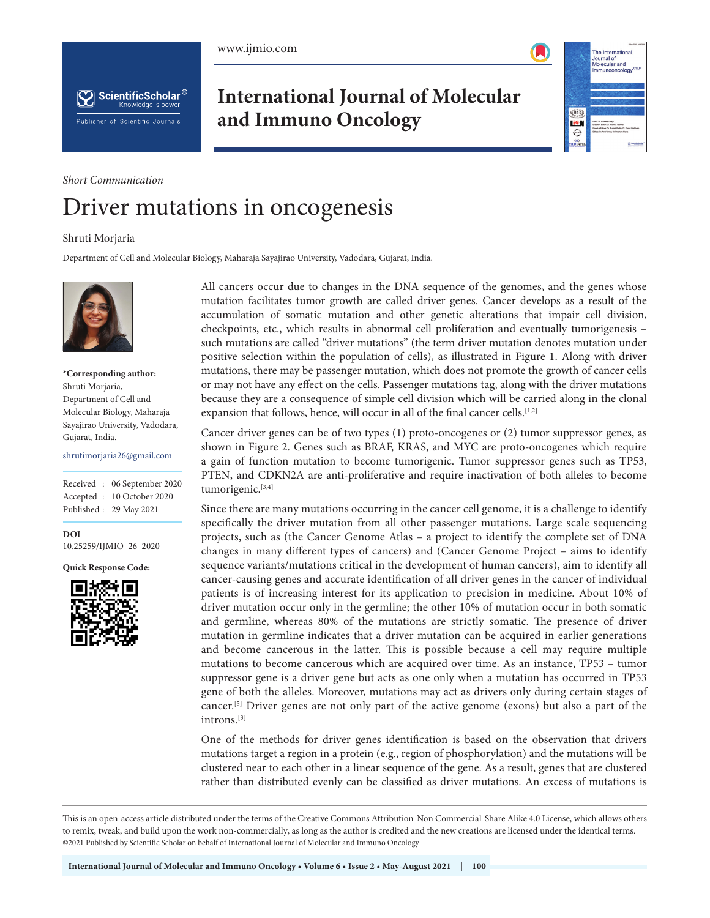

The International Journal of<br>Molecular and<br>Immunooncolo

ennos.

i®  $\hat{\mathbb{Q}}$ 



**International Journal of Molecular and Immuno Oncology**

# *Short Communication*

# Driver mutations in oncogenesis

#### Shruti Morjaria

Department of Cell and Molecular Biology, Maharaja Sayajirao University, Vadodara, Gujarat, India.



### **\*Corresponding author:** Shruti Morjaria, Department of Cell and Molecular Biology, Maharaja Sayajirao University, Vadodara, Gujarat, India.

shrutimorjaria26@gmail.com

Received : 06 September 2020 Accepted : 10 October 2020 Published : 29 May 2021

**DOI** [10.25259/IJMIO\\_26\\_2020](https://dx.doi.org/10.25259/IJMIO_26_2020)

**Quick Response Code:**



All cancers occur due to changes in the DNA sequence of the genomes, and the genes whose mutation facilitates tumor growth are called driver genes. Cancer develops as a result of the accumulation of somatic mutation and other genetic alterations that impair cell division, checkpoints, etc., which results in abnormal cell proliferation and eventually tumorigenesis – such mutations are called "driver mutations" (the term driver mutation denotes mutation under positive selection within the population of cells), as illustrated in Figure 1. Along with driver mutations, there may be passenger mutation, which does not promote the growth of cancer cells or may not have any effect on the cells. Passenger mutations tag, along with the driver mutations because they are a consequence of simple cell division which will be carried along in the clonal expansion that follows, hence, will occur in all of the final cancer cells.<sup>[1,2]</sup>

Cancer driver genes can be of two types (1) proto-oncogenes or (2) tumor suppressor genes, as shown in Figure 2. Genes such as BRAF, KRAS, and MYC are proto-oncogenes which require a gain of function mutation to become tumorigenic. Tumor suppressor genes such as TP53, PTEN, and CDKN2A are anti-proliferative and require inactivation of both alleles to become tumorigenic.<sup>[3,4]</sup>

Since there are many mutations occurring in the cancer cell genome, it is a challenge to identify specifically the driver mutation from all other passenger mutations. Large scale sequencing projects, such as (the Cancer Genome Atlas – a project to identify the complete set of DNA changes in many different types of cancers) and (Cancer Genome Project – aims to identify sequence variants/mutations critical in the development of human cancers), aim to identify all cancer-causing genes and accurate identification of all driver genes in the cancer of individual patients is of increasing interest for its application to precision in medicine. About 10% of driver mutation occur only in the germline; the other 10% of mutation occur in both somatic and germline, whereas 80% of the mutations are strictly somatic. The presence of driver mutation in germline indicates that a driver mutation can be acquired in earlier generations and become cancerous in the latter. This is possible because a cell may require multiple mutations to become cancerous which are acquired over time. As an instance, TP53 – tumor suppressor gene is a driver gene but acts as one only when a mutation has occurred in TP53 gene of both the alleles. Moreover, mutations may act as drivers only during certain stages of cancer.[5] Driver genes are not only part of the active genome (exons) but also a part of the introns.[3]

One of the methods for driver genes identification is based on the observation that drivers mutations target a region in a protein (e.g., region of phosphorylation) and the mutations will be clustered near to each other in a linear sequence of the gene. As a result, genes that are clustered rather than distributed evenly can be classified as driver mutations. An excess of mutations is

This is an open-access article distributed under the terms of the Creative Commons Attribution-Non Commercial-Share Alike 4.0 License, which allows others to remix, tweak, and build upon the work non-commercially, as long as the author is credited and the new creations are licensed under the identical terms. ©2021 Published by Scientific Scholar on behalf of International Journal of Molecular and Immuno Oncology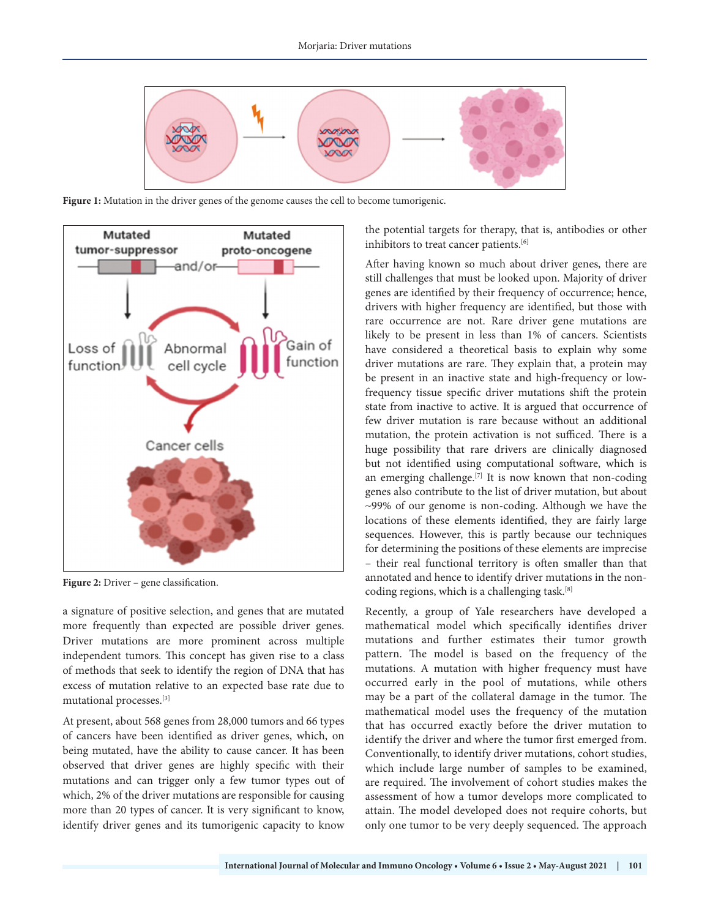

Figure 1: Mutation in the driver genes of the genome causes the cell to become tumorigenic.



**Figure 2:** Driver – gene classification.

a signature of positive selection, and genes that are mutated more frequently than expected are possible driver genes. Driver mutations are more prominent across multiple independent tumors. This concept has given rise to a class of methods that seek to identify the region of DNA that has excess of mutation relative to an expected base rate due to mutational processes.[3]

At present, about 568 genes from 28,000 tumors and 66 types of cancers have been identified as driver genes, which, on being mutated, have the ability to cause cancer. It has been observed that driver genes are highly specific with their mutations and can trigger only a few tumor types out of which, 2% of the driver mutations are responsible for causing more than 20 types of cancer. It is very significant to know, identify driver genes and its tumorigenic capacity to know

the potential targets for therapy, that is, antibodies or other inhibitors to treat cancer patients.<sup>[6]</sup>

After having known so much about driver genes, there are still challenges that must be looked upon. Majority of driver genes are identified by their frequency of occurrence; hence, drivers with higher frequency are identified, but those with rare occurrence are not. Rare driver gene mutations are likely to be present in less than 1% of cancers. Scientists have considered a theoretical basis to explain why some driver mutations are rare. They explain that, a protein may be present in an inactive state and high-frequency or lowfrequency tissue specific driver mutations shift the protein state from inactive to active. It is argued that occurrence of few driver mutation is rare because without an additional mutation, the protein activation is not sufficed. There is a huge possibility that rare drivers are clinically diagnosed but not identified using computational software, which is an emerging challenge.<sup>[7]</sup> It is now known that non-coding genes also contribute to the list of driver mutation, but about ∼99% of our genome is non-coding. Although we have the locations of these elements identified, they are fairly large sequences. However, this is partly because our techniques for determining the positions of these elements are imprecise – their real functional territory is often smaller than that annotated and hence to identify driver mutations in the noncoding regions, which is a challenging task.[8]

Recently, a group of Yale researchers have developed a mathematical model which specifically identifies driver mutations and further estimates their tumor growth pattern. The model is based on the frequency of the mutations. A mutation with higher frequency must have occurred early in the pool of mutations, while others may be a part of the collateral damage in the tumor. The mathematical model uses the frequency of the mutation that has occurred exactly before the driver mutation to identify the driver and where the tumor first emerged from. Conventionally, to identify driver mutations, cohort studies, which include large number of samples to be examined, are required. The involvement of cohort studies makes the assessment of how a tumor develops more complicated to attain. The model developed does not require cohorts, but only one tumor to be very deeply sequenced. The approach